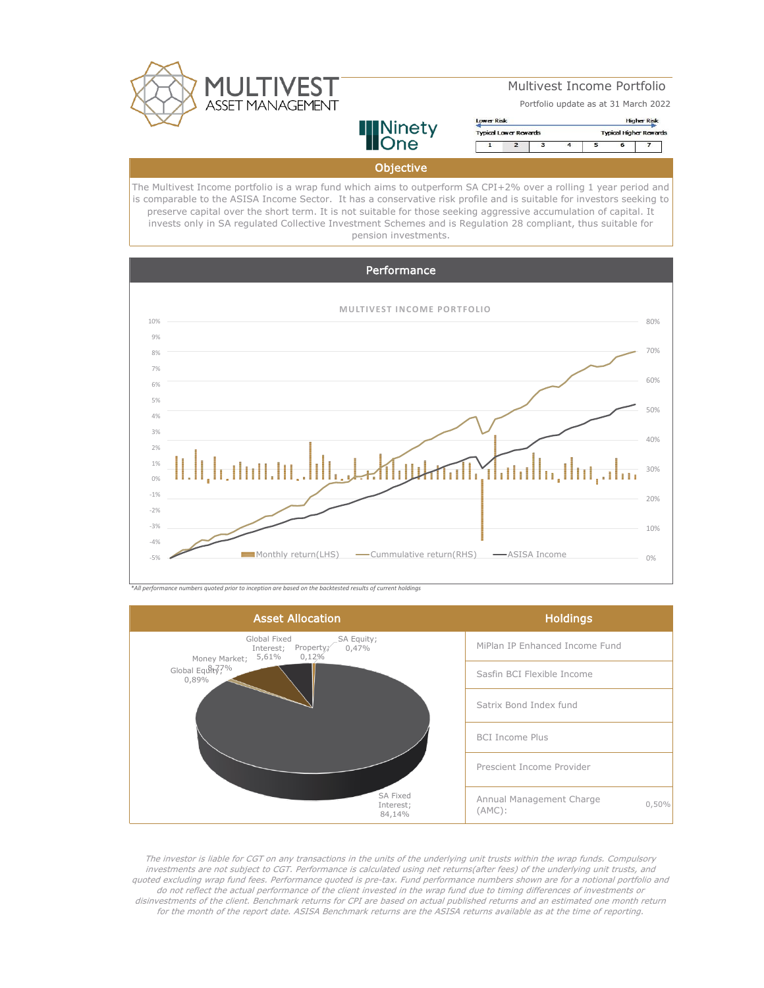

# Multivest Income Portfolio

Portfolio update as at 31 March 2022



## **Objective**

**INinety**<br>**Hone** 

The Multivest Income portfolio is a wrap fund which aims to outperform SA CPI+2% over a rolling 1 year period and is comparable to the ASISA Income Sector. It has a conservative risk profile and is suitable for investors seeking to preserve capital over the short term. It is not suitable for those seeking aggressive accumulation of capital. It invests only in SA regulated Collective Investment Schemes and is Regulation 28 compliant, thus suitable for pension investments.



*\*All performance numbers quoted prior to inception are based on the backtested results of current holdings*



The investor is liable for CGT on any transactions in the units of the underlying unit trusts within the wrap funds. Compulsory investments are not subject to CGT. Performance is calculated using net returns(after fees) of the underlying unit trusts, and quoted excluding wrap fund fees. Performance quoted is pre-tax. Fund performance numbers shown are for a notional portfolio and do not reflect the actual performance of the client invested in the wrap fund due to timing differences of investments or disinvestments of the client. Benchmark returns for CPI are based on actual published returns and an estimated one month return for the month of the report date. ASISA Benchmark returns are the ASISA returns available as at the time of reporting.